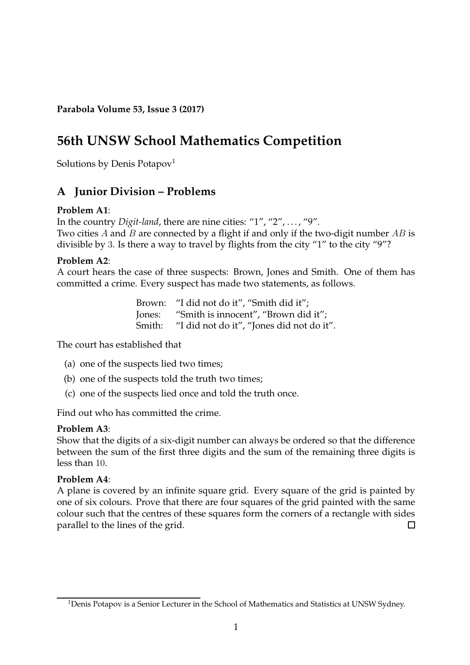**Parabola Volume 53, Issue 3 (2017)**

# **56th UNSW School Mathematics Competition**

Solutions by Denis Potapov<sup>[1](#page-0-0)</sup>

## **A Junior Division – Problems**

## **Problem A1**:

In the country *Digit-land*, there are nine cities: "1", "2", . . . , "9". Two cities A and B are connected by a flight if and only if the two-digit number  $AB$  is divisible by 3. Is there a way to travel by flights from the city "1" to the city "9"?

## **Problem A2**:

A court hears the case of three suspects: Brown, Jones and Smith. One of them has committed a crime. Every suspect has made two statements, as follows.

> Brown: "I did not do it", "Smith did it"; Jones: "Smith is innocent", "Brown did it"; Smith: "I did not do it", "Jones did not do it".

The court has established that

- (a) one of the suspects lied two times;
- (b) one of the suspects told the truth two times;
- (c) one of the suspects lied once and told the truth once.

Find out who has committed the crime.

#### **Problem A3**:

Show that the digits of a six-digit number can always be ordered so that the difference between the sum of the first three digits and the sum of the remaining three digits is less than 10.

## **Problem A4**:

A plane is covered by an infinite square grid. Every square of the grid is painted by one of six colours. Prove that there are four squares of the grid painted with the same colour such that the centres of these squares form the corners of a rectangle with sides parallel to the lines of the grid. П

<span id="page-0-0"></span><sup>&</sup>lt;sup>1</sup>Denis Potapov is a Senior Lecturer in the School of Mathematics and Statistics at UNSW Sydney.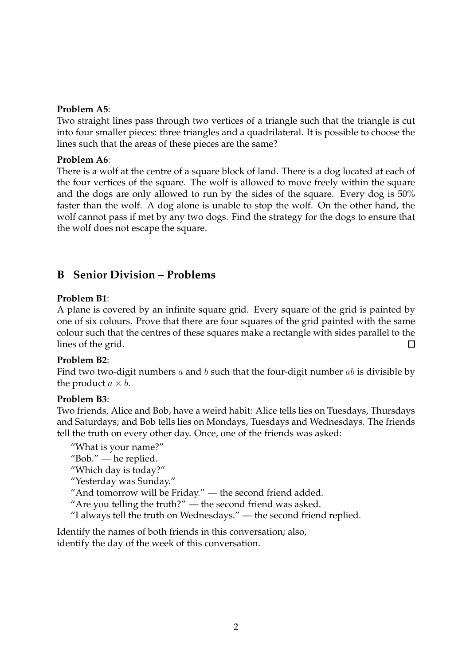#### **Problem A5**:

Two straight lines pass through two vertices of a triangle such that the triangle is cut into four smaller pieces: three triangles and a quadrilateral. It is possible to choose the lines such that the areas of these pieces are the same?

#### **Problem A6**:

There is a wolf at the centre of a square block of land. There is a dog located at each of the four vertices of the square. The wolf is allowed to move freely within the square and the dogs are only allowed to run by the sides of the square. Every dog is 50% faster than the wolf. A dog alone is unable to stop the wolf. On the other hand, the wolf cannot pass if met by any two dogs. Find the strategy for the dogs to ensure that the wolf does not escape the square.

## **B Senior Division – Problems**

## **Problem B1**:

A plane is covered by an infinite square grid. Every square of the grid is painted by one of six colours. Prove that there are four squares of the grid painted with the same colour such that the centres of these squares make a rectangle with sides parallel to the lines of the grid. П

## **Problem B2**:

Find two two-digit numbers a and b such that the four-digit number ab is divisible by the product  $a \times b$ .

## **Problem B3**:

Two friends, Alice and Bob, have a weird habit: Alice tells lies on Tuesdays, Thursdays and Saturdays; and Bob tells lies on Mondays, Tuesdays and Wednesdays. The friends tell the truth on every other day. Once, one of the friends was asked:

"What is your name?"

"Bob." — he replied.

"Which day is today?"

"Yesterday was Sunday."

"And tomorrow will be Friday." — the second friend added.

"Are you telling the truth?" — the second friend was asked.

"I always tell the truth on Wednesdays." — the second friend replied.

Identify the names of both friends in this conversation; also, identify the day of the week of this conversation.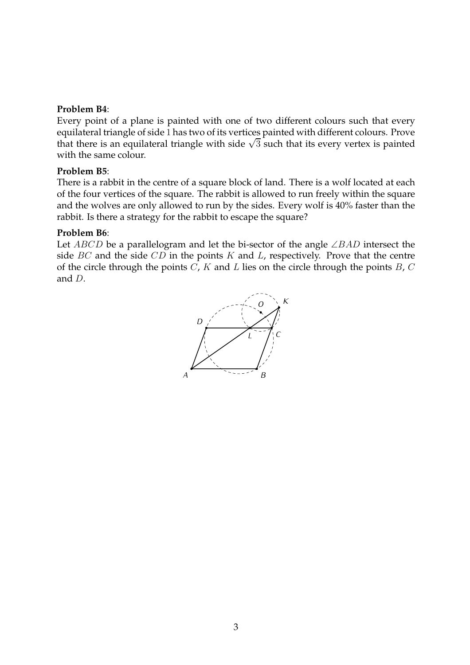#### **Problem B4**:

Every point of a plane is painted with one of two different colours such that every equilateral triangle of side 1 has two of its vertices painted with different colours. Prove that there is an equilateral triangle with side  $\sqrt{3}$  such that its every vertex is painted with the same colour.

#### **Problem B5**:

There is a rabbit in the centre of a square block of land. There is a wolf located at each of the four vertices of the square. The rabbit is allowed to run freely within the square and the wolves are only allowed to run by the sides. Every wolf is 40% faster than the rabbit. Is there a strategy for the rabbit to escape the square?

#### **Problem B6**:

Let ABCD be a parallelogram and let the bi-sector of the angle ∠BAD intersect the side  $BC$  and the side  $CD$  in the points  $K$  and  $L$ , respectively. Prove that the centre of the circle through the points  $C$ ,  $K$  and  $L$  lies on the circle through the points  $B$ ,  $C$ and D.

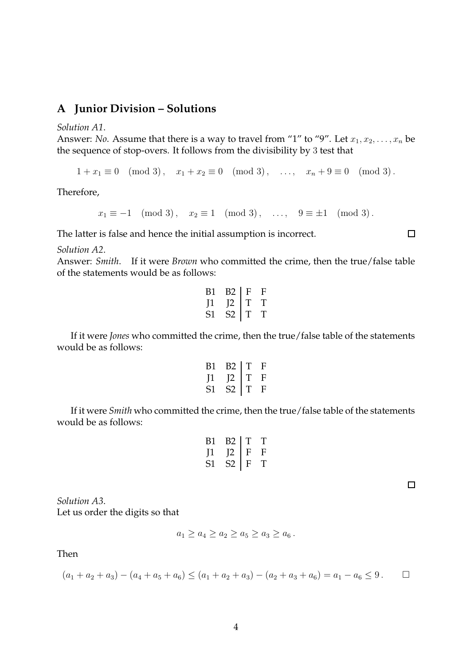## **A Junior Division – Solutions**

*Solution A1*.

Answer: *No*. Assume that there is a way to travel from "1" to "9". Let  $x_1, x_2, \ldots, x_n$  be the sequence of stop-overs. It follows from the divisibility by 3 test that

 $1 + x_1 \equiv 0 \pmod{3}, \quad x_1 + x_2 \equiv 0 \pmod{3}, \quad \dots, \quad x_n + 9 \equiv 0 \pmod{3}.$ 

Therefore,

 $x_1 \equiv -1 \pmod{3}, \quad x_2 \equiv 1 \pmod{3}, \quad \dots, \quad 9 \equiv \pm 1 \pmod{3}.$ 

The latter is false and hence the initial assumption is incorrect.

*Solution A2*.

Answer: *Smith*. If it were *Brown* who committed the crime, then the true/false table of the statements would be as follows:

| В1 | В2 | F | F |
|----|----|---|---|
| И  | 12 | T | T |
| 51 | 52 | T | T |

If it were *Jones* who committed the crime, then the true/false table of the statements would be as follows:

| B1           | B2 | T | F |
|--------------|----|---|---|
| $\mathbf{I}$ | 12 | T | F |
| S1           | S2 | T | F |

If it were *Smith* who committed the crime, then the true/false table of the statements would be as follows:

| ВT | В2 | T. | T |
|----|----|----|---|
| П  | 12 | F  | F |
| 51 | 82 | F  | T |

 $\Box$ 

 $\Box$ 

*Solution A3*. Let us order the digits so that

$$
a_1 \ge a_4 \ge a_2 \ge a_5 \ge a_3 \ge a_6.
$$

Then

$$
(a_1 + a_2 + a_3) - (a_4 + a_5 + a_6) \le (a_1 + a_2 + a_3) - (a_2 + a_3 + a_6) = a_1 - a_6 \le 9.
$$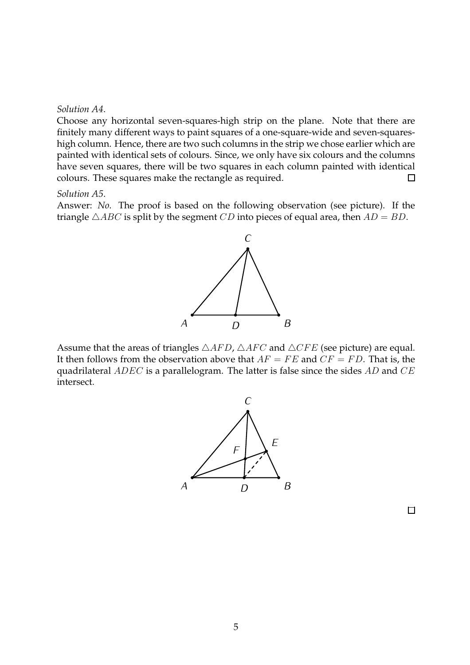#### *Solution A4*.

Choose any horizontal seven-squares-high strip on the plane. Note that there are finitely many different ways to paint squares of a one-square-wide and seven-squareshigh column. Hence, there are two such columns in the strip we chose earlier which are painted with identical sets of colours. Since, we only have six colours and the columns have seven squares, there will be two squares in each column painted with identical colours. These squares make the rectangle as required.  $\Box$ 

#### *Solution A5*.

Answer: *No*. The proof is based on the following observation (see picture). If the triangle  $\triangle ABC$  is split by the segment CD into pieces of equal area, then  $AD = BD$ .



Assume that the areas of triangles  $\triangle AFD$ ,  $\triangle AFC$  and  $\triangle CFE$  (see picture) are equal. It then follows from the observation above that  $AF = FE$  and  $CF = FD$ . That is, the quadrilateral  $ADEC$  is a parallelogram. The latter is false since the sides  $AD$  and  $CE$ intersect.



 $\Box$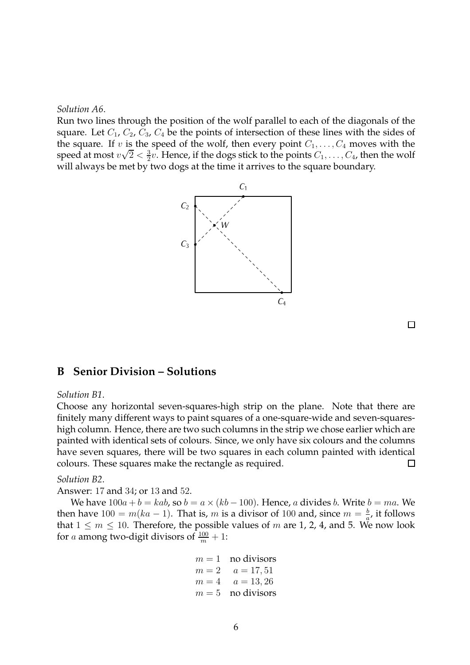*Solution A6*.

Run two lines through the position of the wolf parallel to each of the diagonals of the square. Let  $C_1$ ,  $C_2$ ,  $C_3$ ,  $C_4$  be the points of intersection of these lines with the sides of the square. If v is the speed of the wolf, then every point  $C_1, \ldots, C_4$  moves with the speed at most  $v\sqrt{2} < \frac{3}{2}$  $\frac{3}{2}v$ . Hence, if the dogs stick to the points  $C_1,\ldots,C_4$ , then the wolf will always be met by two dogs at the time it arrives to the square boundary.



 $\Box$ 

## **B Senior Division – Solutions**

#### *Solution B1*.

Choose any horizontal seven-squares-high strip on the plane. Note that there are finitely many different ways to paint squares of a one-square-wide and seven-squareshigh column. Hence, there are two such columns in the strip we chose earlier which are painted with identical sets of colours. Since, we only have six colours and the columns have seven squares, there will be two squares in each column painted with identical colours. These squares make the rectangle as required.  $\Box$ 

*Solution B2*.

Answer: 17 and 34; or 13 and 52.

We have  $100a + b = kab$ , so  $b = a \times (kb - 100)$ . Hence, a divides b. Write  $b = ma$ . We then have  $100 = m(ka - 1)$ . That is, m is a divisor of 100 and, since  $m = \frac{b}{a}$  $\frac{b}{a}$ , it follows that  $1 \leq m \leq 10$ . Therefore, the possible values of m are 1, 2, 4, and 5. We now look for a among two-digit divisors of  $\frac{100}{m}+1$ :

$$
m = 1
$$
 no divisors  
\n
$$
m = 2
$$
  $a = 17, 51$   
\n
$$
m = 4
$$
  $a = 13, 26$   
\n
$$
m = 5
$$
 no divisors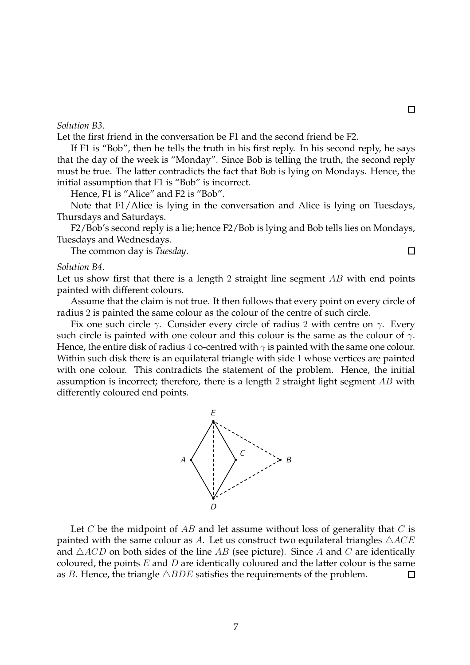#### *Solution B3*.

Let the first friend in the conversation be F1 and the second friend be F2.

If F1 is "Bob", then he tells the truth in his first reply. In his second reply, he says that the day of the week is "Monday". Since Bob is telling the truth, the second reply must be true. The latter contradicts the fact that Bob is lying on Mondays. Hence, the initial assumption that F1 is "Bob" is incorrect.

Hence, F1 is "Alice" and F2 is "Bob".

Note that F1/Alice is lying in the conversation and Alice is lying on Tuesdays, Thursdays and Saturdays.

F2/Bob's second reply is a lie; hence F2/Bob is lying and Bob tells lies on Mondays, Tuesdays and Wednesdays.

The common day is *Tuesday*.

#### *Solution B4*.

Let us show first that there is a length  $2$  straight line segment  $AB$  with end points painted with different colours.

Assume that the claim is not true. It then follows that every point on every circle of radius 2 is painted the same colour as the colour of the centre of such circle.

Fix one such circle  $\gamma$ . Consider every circle of radius 2 with centre on  $\gamma$ . Every such circle is painted with one colour and this colour is the same as the colour of  $\gamma$ . Hence, the entire disk of radius 4 co-centred with  $\gamma$  is painted with the same one colour. Within such disk there is an equilateral triangle with side 1 whose vertices are painted with one colour. This contradicts the statement of the problem. Hence, the initial assumption is incorrect; therefore, there is a length 2 straight light segment AB with differently coloured end points.



Let  $C$  be the midpoint of  $AB$  and let assume without loss of generality that  $C$  is painted with the same colour as A. Let us construct two equilateral triangles  $\triangle ACE$ and  $\triangle ACD$  on both sides of the line AB (see picture). Since A and C are identically coloured, the points  $E$  and  $D$  are identically coloured and the latter colour is the same as B. Hence, the triangle  $\triangle BDE$  satisfies the requirements of the problem.  $\Box$ 

 $\Box$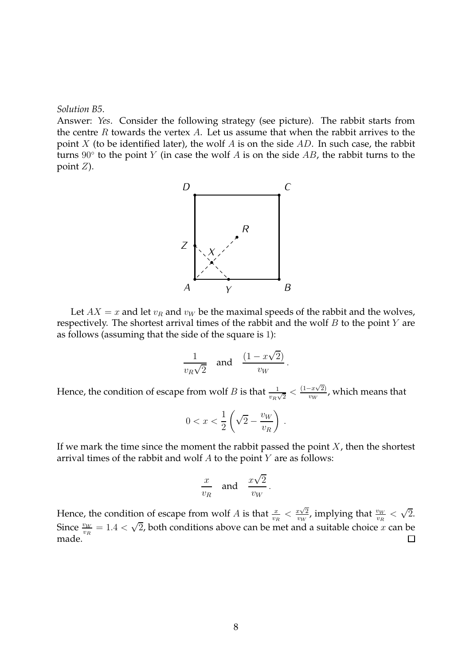*Solution B5*.

Answer: *Yes*. Consider the following strategy (see picture). The rabbit starts from the centre  $R$  towards the vertex  $A$ . Let us assume that when the rabbit arrives to the point  $X$  (to be identified later), the wolf  $A$  is on the side  $AD$ . In such case, the rabbit turns  $90^{\circ}$  to the point  $Y$  (in case the wolf  $A$  is on the side  $AB$ , the rabbit turns to the point  $Z$ ).



Let  $AX = x$  and let  $v_R$  and  $v_W$  be the maximal speeds of the rabbit and the wolves, respectively. The shortest arrival times of the rabbit and the wolf  $B$  to the point  $Y$  are as follows (assuming that the side of the square is 1):

$$
\frac{1}{v_R\sqrt{2}} \quad \text{and} \quad \frac{(1-x\sqrt{2})}{v_W}.
$$

Hence, the condition of escape from wolf B is that  $\frac{1}{v_R\sqrt{2}} < \frac{(1-x\sqrt{2})}{v_W}$  $\frac{f_{\text{TW}}(x,y)}{f_{\text{TW}}}$ , which means that

$$
0 < x < \frac{1}{2} \left( \sqrt{2} - \frac{v_W}{v_R} \right) \, .
$$

If we mark the time since the moment the rabbit passed the point  $X$ , then the shortest arrival times of the rabbit and wolf  $A$  to the point  $Y$  are as follows:

$$
\frac{x}{v_R} \quad \text{and} \quad \frac{x\sqrt{2}}{v_W}.
$$

Hence, the condition of escape from wolf A is that  $\frac{x}{v_R} < \frac{x\sqrt{2}}{v_W}$ , implying that  $\frac{v_W}{v_R} < \sqrt{2}$ . Since  $\frac{v_W}{v_R} = 1.4 < \sqrt{2}$ , both conditions above can be met and a suitable choice x can be made.  $\Box$